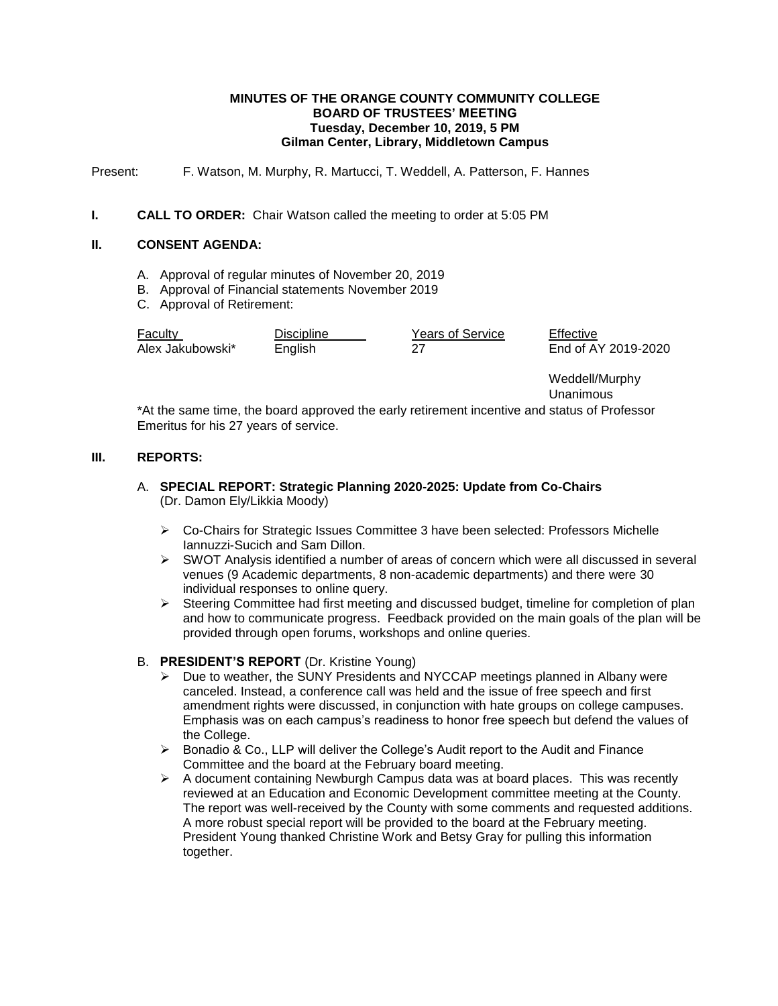### **MINUTES OF THE ORANGE COUNTY COMMUNITY COLLEGE BOARD OF TRUSTEES' MEETING Tuesday, December 10, 2019, 5 PM Gilman Center, Library, Middletown Campus**

Present: F. Watson, M. Murphy, R. Martucci, T. Weddell, A. Patterson, F. Hannes

### **I. CALL TO ORDER:** Chair Watson called the meeting to order at 5:05 PM

## **II. CONSENT AGENDA:**

- A. Approval of regular minutes of November 20, 2019
- B. Approval of Financial statements November 2019
- C. Approval of Retirement:

| Faculty          | Discipline | Years of Service | Effective           |
|------------------|------------|------------------|---------------------|
| Alex Jakubowski* | English    |                  | End of AY 2019-2020 |

Weddell/Murphy Unanimous

\*At the same time, the board approved the early retirement incentive and status of Professor Emeritus for his 27 years of service.

### **III. REPORTS:**

## A. **SPECIAL REPORT: Strategic Planning 2020-2025: Update from Co-Chairs** (Dr. Damon Ely/Likkia Moody)

- Co-Chairs for Strategic Issues Committee 3 have been selected: Professors Michelle Iannuzzi-Sucich and Sam Dillon.
- SWOT Analysis identified a number of areas of concern which were all discussed in several venues (9 Academic departments, 8 non-academic departments) and there were 30 individual responses to online query.
- $\triangleright$  Steering Committee had first meeting and discussed budget, timeline for completion of plan and how to communicate progress. Feedback provided on the main goals of the plan will be provided through open forums, workshops and online queries.

# B. **PRESIDENT'S REPORT** (Dr. Kristine Young)

- $\triangleright$  Due to weather, the SUNY Presidents and NYCCAP meetings planned in Albany were canceled. Instead, a conference call was held and the issue of free speech and first amendment rights were discussed, in conjunction with hate groups on college campuses. Emphasis was on each campus's readiness to honor free speech but defend the values of the College.
- $\triangleright$  Bonadio & Co., LLP will deliver the College's Audit report to the Audit and Finance Committee and the board at the February board meeting.
- $\triangleright$  A document containing Newburgh Campus data was at board places. This was recently reviewed at an Education and Economic Development committee meeting at the County. The report was well-received by the County with some comments and requested additions. A more robust special report will be provided to the board at the February meeting. President Young thanked Christine Work and Betsy Gray for pulling this information together.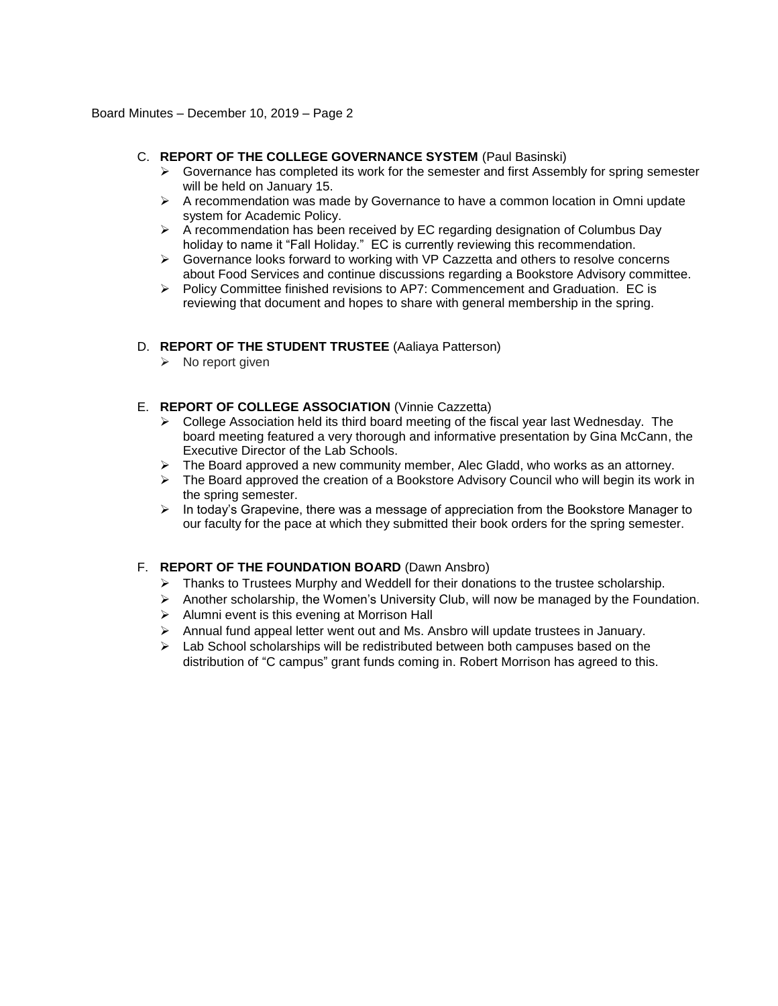## C. **REPORT OF THE COLLEGE GOVERNANCE SYSTEM** (Paul Basinski)

- $\triangleright$  Governance has completed its work for the semester and first Assembly for spring semester will be held on January 15.
- $\triangleright$  A recommendation was made by Governance to have a common location in Omni update system for Academic Policy.
- $\triangleright$  A recommendation has been received by EC regarding designation of Columbus Day holiday to name it "Fall Holiday." EC is currently reviewing this recommendation.
- $\triangleright$  Governance looks forward to working with VP Cazzetta and others to resolve concerns about Food Services and continue discussions regarding a Bookstore Advisory committee.
- $\triangleright$  Policy Committee finished revisions to AP7: Commencement and Graduation. EC is reviewing that document and hopes to share with general membership in the spring.

## D. **REPORT OF THE STUDENT TRUSTEE** (Aaliaya Patterson)

 $\triangleright$  No report given

### E. **REPORT OF COLLEGE ASSOCIATION** (Vinnie Cazzetta)

- $\triangleright$  College Association held its third board meeting of the fiscal year last Wednesday. The board meeting featured a very thorough and informative presentation by Gina McCann, the Executive Director of the Lab Schools.
- $\triangleright$  The Board approved a new community member, Alec Gladd, who works as an attorney.
- $\triangleright$  The Board approved the creation of a Bookstore Advisory Council who will begin its work in the spring semester.
- $\triangleright$  In today's Grapevine, there was a message of appreciation from the Bookstore Manager to our faculty for the pace at which they submitted their book orders for the spring semester.

### F. **REPORT OF THE FOUNDATION BOARD** (Dawn Ansbro)

- $\triangleright$  Thanks to Trustees Murphy and Weddell for their donations to the trustee scholarship.
- $\triangleright$  Another scholarship, the Women's University Club, will now be managed by the Foundation.
- $\triangleright$  Alumni event is this evening at Morrison Hall
- $\triangleright$  Annual fund appeal letter went out and Ms. Ansbro will update trustees in January.
- $\triangleright$  Lab School scholarships will be redistributed between both campuses based on the distribution of "C campus" grant funds coming in. Robert Morrison has agreed to this.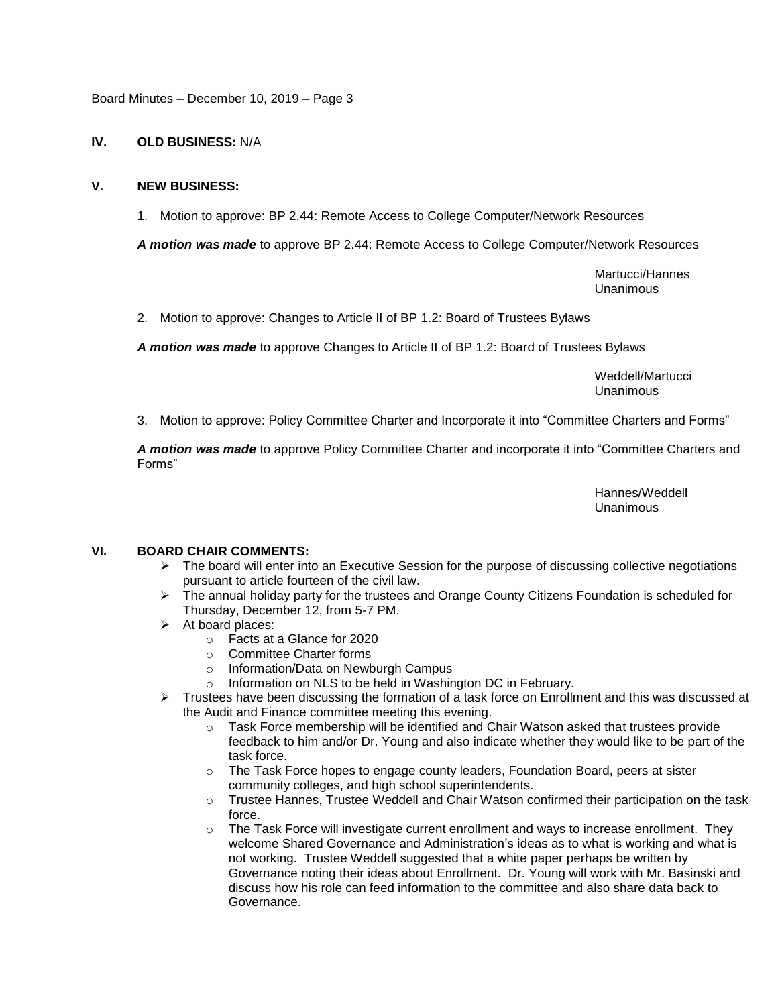Board Minutes – December 10, 2019 – Page 3

## **IV. OLD BUSINESS:** N/A

## **V. NEW BUSINESS:**

1. Motion to approve: BP 2.44: Remote Access to College Computer/Network Resources

*A motion was made* to approve BP 2.44: Remote Access to College Computer/Network Resources

Martucci/Hannes Unanimous

2. Motion to approve: Changes to Article II of BP 1.2: Board of Trustees Bylaws

*A motion was made* to approve Changes to Article II of BP 1.2: Board of Trustees Bylaws

Weddell/Martucci Unanimous

3. Motion to approve: Policy Committee Charter and Incorporate it into "Committee Charters and Forms"

*A motion was made* to approve Policy Committee Charter and incorporate it into "Committee Charters and Forms"

> Hannes/Weddell Unanimous

### **VI. BOARD CHAIR COMMENTS:**

- $\triangleright$  The board will enter into an Executive Session for the purpose of discussing collective negotiations pursuant to article fourteen of the civil law.
- $\triangleright$  The annual holiday party for the trustees and Orange County Citizens Foundation is scheduled for Thursday, December 12, from 5-7 PM.
- $\triangleright$  At board places:
	- o Facts at a Glance for 2020
	- o Committee Charter forms
	- o Information/Data on Newburgh Campus
	- o Information on NLS to be held in Washington DC in February.
- Frustees have been discussing the formation of a task force on Enrollment and this was discussed at the Audit and Finance committee meeting this evening.
	- o Task Force membership will be identified and Chair Watson asked that trustees provide feedback to him and/or Dr. Young and also indicate whether they would like to be part of the task force.
	- $\circ$  The Task Force hopes to engage county leaders, Foundation Board, peers at sister community colleges, and high school superintendents.
	- o Trustee Hannes, Trustee Weddell and Chair Watson confirmed their participation on the task force.
	- o The Task Force will investigate current enrollment and ways to increase enrollment. They welcome Shared Governance and Administration's ideas as to what is working and what is not working. Trustee Weddell suggested that a white paper perhaps be written by Governance noting their ideas about Enrollment. Dr. Young will work with Mr. Basinski and discuss how his role can feed information to the committee and also share data back to Governance.